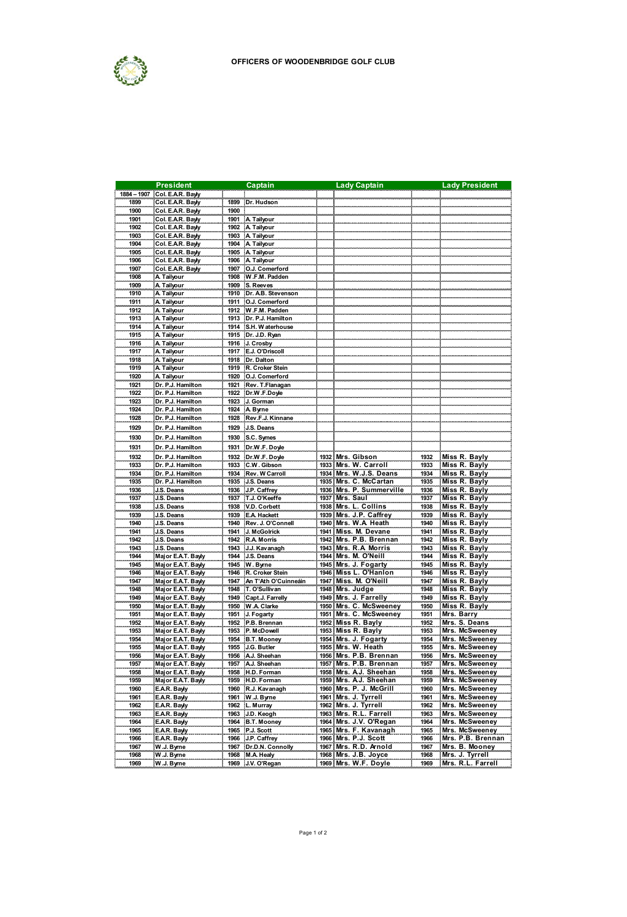

|              | <b>President</b>                     |              | Captain                       |      | <b>Lady Captain</b>                           |              | <b>Lady President</b>                 |
|--------------|--------------------------------------|--------------|-------------------------------|------|-----------------------------------------------|--------------|---------------------------------------|
| 1884 - 1907  | Col. E.A.R. Bayly                    |              |                               |      |                                               |              |                                       |
| 1899         | Col. EAR. Bayly                      | 1899         | Dr. Hudson                    |      |                                               |              |                                       |
| 1900         | Col. E.A.R. Bayly                    | 1900         |                               |      |                                               |              |                                       |
| 1901         | Col. E.A.R. Bayly                    | 1901         | A Tailyour                    |      |                                               |              |                                       |
| 1902         | Col. E.A.R. Bayly                    | 1902         | A Tailyour                    |      |                                               |              |                                       |
| 1903         | Col. E.A.R. Bayly                    | 1903         | A Tailyour                    |      |                                               |              |                                       |
| 1904         | Col. EAR. Bayly                      | 1904         | A Tailyour                    |      |                                               |              |                                       |
| 1905         | Col. E.A.R. Bayly                    | 1905         | A Tailyour                    |      |                                               |              |                                       |
| 1906<br>1907 | Col. E.A.R. Bayly<br>Col. EAR. Bayly | 1906<br>1907 | A Tailyour<br>O.J. Comerford  |      |                                               |              |                                       |
| 1908         |                                      | 1908         | W.F.M. Padden                 |      |                                               |              |                                       |
| 1909         | A Tailyour<br>A. Tailyour            | 1909         | S. Reeves                     |      |                                               |              |                                       |
| 1910         | A Tailyour                           | 1910         | Dr. A.B. Stevenson            |      |                                               |              |                                       |
| 1911         | A. Tailyour                          | 1911         | O.J. Comerford                |      |                                               |              |                                       |
| 1912         | A Tailyour                           | 1912         | W.F.M. Padden                 |      |                                               |              |                                       |
| 1913         | A Tailyour                           | 1913         | Dr. P.J. Hamilton             |      |                                               |              |                                       |
| 1914         | A Tailyour                           | 1914         | S.H. Waterhouse               |      |                                               |              |                                       |
| 1915         | A Tailyour                           | 1915         | Dr. J.D. Ryan                 |      |                                               |              |                                       |
| 1916         | A Tailyour                           | 1916         | J. Crosby                     |      |                                               |              |                                       |
| 1917         | A Tailyour                           | 1917         | E.J. O'Driscol                |      |                                               |              |                                       |
| 1918         | A Tailyour                           | 1918         | Dr. Dalton                    |      |                                               |              |                                       |
| 1919         | A Tailyour                           | 1919         | R. Croker Stein               |      |                                               |              |                                       |
| 1920         | A Tailyour                           | 1920         | O.J. Comerford                |      |                                               |              |                                       |
| 1921         | Dr. P.J. Hamilton                    | 1921         | Rev. T.Flanagan               |      |                                               |              |                                       |
| 1922         | Dr. P.J. Hamilton                    | 1922         | Dr.W F.Doyle                  |      |                                               |              |                                       |
| 1923         | Dr. P.J. Hamilton                    | 1923         | J. Gorman                     |      |                                               |              |                                       |
| 1924         | Dr. P.J. Hamilton                    | 1924         | A Byrne                       |      |                                               |              |                                       |
| 1928         | Dr. P.J. Hamilton                    | 1928         | Rev.F.J. Kinnane              |      |                                               |              |                                       |
| 1929         | Dr. P.J. Hamilton                    | 1929         | J.S. Deans                    |      |                                               |              |                                       |
| 1930         | Dr. P.J. Hamilton                    | 1930         | S.C. Symes                    |      |                                               |              |                                       |
|              |                                      | 1931         |                               |      |                                               |              |                                       |
| 1931         | Dr. P.J. Hamilton                    |              | Dr.W.F. Doyle                 |      |                                               |              |                                       |
| 1932         | Dr. P.J. Hamilton                    | 1932         | Dr.W F. Doyle                 |      | 1932 Mrs. Gibson                              | 1932         | Miss R. Bayly                         |
| 1933         | Dr. P.J. Hamilton                    | 1933         | C.W. Gibson                   | 1933 | Mrs. W. Carroll<br>1934 Mrs. W.J.S. Deans     | 1933         | Miss R. Bayly<br><b>Miss R. Bayly</b> |
| 1934         | Dr. P.J. Hamilton                    | 1934         | Rev. W Carroll                |      |                                               | 1934         |                                       |
| 1935         | Dr. P.J. Hamilton                    | 1935         | J.S. Deans                    |      | 1935 Mrs. C. McCartan                         | 1935         | Miss R. Bayly                         |
| 1936<br>1937 | J.S. Deans                           | 1936         | J.P. Caffrey                  |      | 1936 Mrs. P. Summerville<br>1937 Mrs. Saul    | 1936<br>1937 | Miss R. Bayly                         |
| 1938         | J.S. Deans<br>J.S. Deans             | 1937<br>1938 | T.J. O'Keeffe<br>V.D. Corbett |      | 1938 Mrs. L. Collins                          | 1938         | Miss R. Bayly<br>Miss R. Bayly        |
| 1939         | J.S. Deans                           | 1939         | <b>E.A. Hackett</b>           |      | 1939 Mrs. J.P. Caffrey                        | 1939         | Miss R. Bayly                         |
| 1940         | J.S. Deans                           | 1940         | Rev. J. O'Conne               |      | 1940 Mrs. W.A Heath                           | 1940         | <b>Miss R. Bayly</b>                  |
| 1941         | J.S. Deans                           | 1941         | J. McGolrick                  |      | 1941 Miss. M. Devane                          | 1941         | <b>Miss R. Bayly</b>                  |
| 1942         | J.S. Deans                           | 1942         | R.A. Morris                   |      | 1942 Mrs. P.B. Brennan                        | 1942         | <b>Miss R. Bayly</b>                  |
| 1943         | J.S. Deans                           | 1943         | J.J. Kavanagh                 |      | 1943 Mrs. R.A Morris                          | 1943         | Miss R. Bayly                         |
| 1944         | Major E.A.T. Bayly                   | 1944         | J.S. Deans                    |      | 1944 Mrs. M. O'Neill                          | 1944         | Miss R. Bayly                         |
| 1945         | Major E.A.T. Bayly                   | 1945         | W. Byrne                      |      |                                               | 1945         | Miss R. Bayly                         |
| 1946         | Major E.A.T. Bayly                   | 1946         | R. Croker Stein               |      | 1945 Mrs. J. Fogarty<br>1946 Miss L. O'Hanlon | 1946         | Miss R. Bayly                         |
| 1947         | Major E.A.T. Bayly                   | 1947         | An T'Ath O'Cuinneáin          |      | 1947 Miss. M. O'Neill                         | 1947         | Miss R. Bayly                         |
| 1948         | Major E.A.T. Bayly                   | 1948         | T. O'Sulliv an                |      | 1948 Mrs. Judge                               | 1948         | Miss R. Bayly                         |
| 1949         | Major E.A.T. Bayly                   | 1949         | Capt.J. Farrell               |      | 1949 Mrs. J. Farrelly                         | 1949         | <b>Miss R. Bayly</b>                  |
| 1950         | Major EAT. Bayly                     | 1950         | W.A. Clarke                   |      | 1950 Mrs. C. McSweeney                        | 1950         | <b>Miss R. Bayly</b>                  |
| 1951         | Major E.A.T. Bayly                   | 1951         | J. Fogarty                    |      | 1951 Mrs. C. McSweeney                        | 1951         | Mrs. Barry                            |
| 1952         | Major E.A.T. Bayly                   | 1952         | P.B. Brennan                  |      | 1952 Miss R. Bayly                            | 1952         | Mrs. S. Deans                         |
| 1953         | Major E.A.T. Bayly                   | 1953         | P. McDowell                   |      | 1953 Miss R. Bayly                            | 1953         | Mrs. McSweeney                        |
| 1954         | Major E.A.T. Bayly                   | 1954         | <b>B.T. Mooney</b>            |      |                                               | 1954         | Mrs. McSweeney                        |
| 1955         | Major EAT. Bayly                     | 1955         | J.G. Butler                   |      | 1954 Mrs. J. Fogarty<br>1955 Mrs. W. Heath    | 1955         | Mrs. McSweeney                        |
| 1956         | Major E.A.T. Bayly                   | 1956         | A.J. Sheehan                  |      | 1956 Mrs. P.B. Brennan                        | 1956         | Mrs. McSweeney                        |
| 1957         | Major E.A.T. Bayly                   | 1957         | A.J. Sheehan                  |      | 1957 Mrs. P.B. Brennan                        | 1957         | Mrs. McSweeney                        |
| 1958         | Major EAT. Bayly                     | 1958         | H.D. Forman                   |      | 1958 Mrs. A.J. Sheehan                        | 1958         | Mrs. McSweeney                        |
| 1959         | Major E.A.T. Bayly                   | 1959         | H.D. Forman                   |      | 1959 Mrs. A.J. Sheehan                        | 1959         | Mrs. McSweeney                        |
| 1960         | E.A.R. Bayly                         | 1950         | R.J. Kavanagh                 |      | 1960 Mirs. P. J. McGrill                      | 1960         | Mrs. McSweeney                        |
| 1961         | E.A.R. Bayly                         | 1961         | W.J. Byrne                    |      | 1961 Mrs. J. Tyrrell                          | 1961         | Mrs. McSweeney                        |
| 1962         | E.A.R. Bayly                         | 1952         | L. Murray                     |      | 1962 Mrs. J. Tyrrell                          | 1962         | Mrs. McSweeney                        |
| 1963         | E.A.R. Bayly                         | 1963         | J.D. Keogh                    |      | 1963 Mrs. R.L. Farrell                        | 1963         | Mrs. McSweeney                        |
| 1964         | E.A.R. Bayly                         | 1964         | B.T. Mooney                   |      | 1964 Mrs. J.V. O'Regan                        | 1964         | Mrs. McSweeney                        |
| 1965         | E.A.R. Bayly                         | 1965         | P.J. Scott                    |      | 1965 Mrs. F. Kavanagh                         | 1965         | Mrs. McSweeney                        |
| 1966         | E.A.R. Bayly                         | 1966         | <b>J.P. Caffrey</b>           |      | 1966 Mrs. P.J. Scott                          | 1966         | Mrs. P.B. Brennan                     |
| 1967         | W.J. Byrne                           |              | 1967 Dr.D.N. Connolly         |      | 1967 Mrs. R.D. Arnold                         | 1967         | Mrs. B. Mooney                        |
| 1968         | W.J. Byrne                           |              | 1968 M.A. Healy               |      | 1968 Mrs. J.B. Joyce                          | 1968         | Mrs. J. Tyrrell                       |
| 1969         | W.J. Byrne                           |              | 1969   J.V. O'Regan           |      | 1969 Mrs. W.F. Doyle                          | 1969         | Mrs. R.L. Farrell                     |